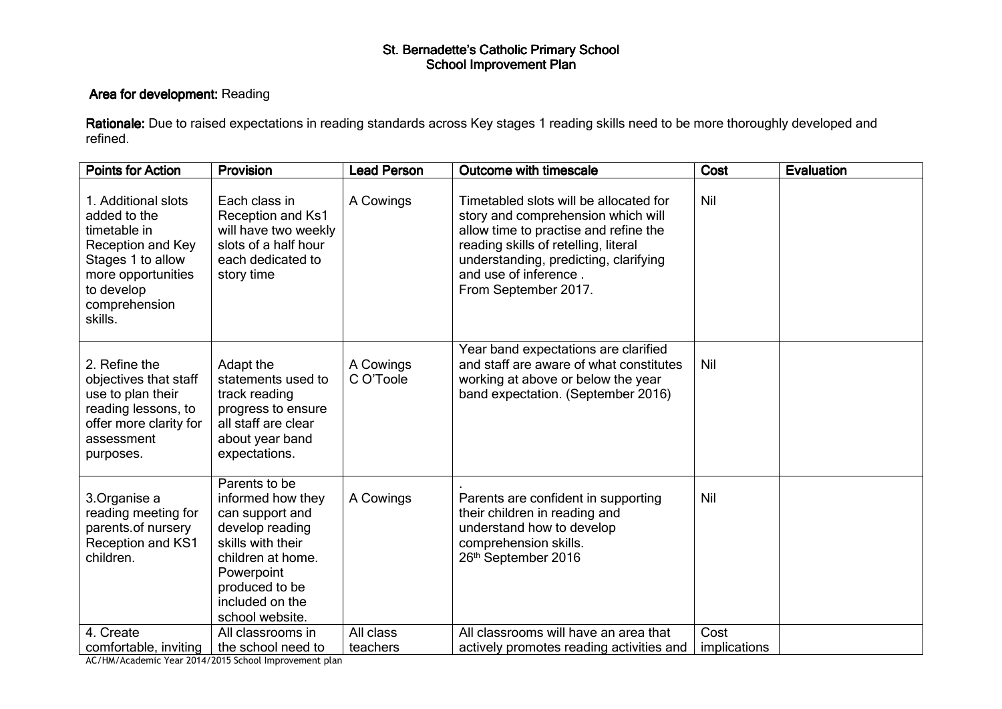## St. Bernadette's Catholic Primary School<br>School Improvement Plan

## Area for development: Reading

**Rationale:** Due to raised expectations in reading standards across Key stages 1 reading skills need to be more thoroughly developed and refined.

| <b>Points for Action</b>                                                                                                                                      | Provision                                                                                                                                                                                | <b>Lead Person</b>     | <b>Outcome with timescale</b>                                                                                                                                                                                                                           | Cost         | <b>Evaluation</b> |
|---------------------------------------------------------------------------------------------------------------------------------------------------------------|------------------------------------------------------------------------------------------------------------------------------------------------------------------------------------------|------------------------|---------------------------------------------------------------------------------------------------------------------------------------------------------------------------------------------------------------------------------------------------------|--------------|-------------------|
| 1. Additional slots<br>added to the<br>timetable in<br>Reception and Key<br>Stages 1 to allow<br>more opportunities<br>to develop<br>comprehension<br>skills. | Each class in<br>Reception and Ks1<br>will have two weekly<br>slots of a half hour<br>each dedicated to<br>story time                                                                    | A Cowings              | Timetabled slots will be allocated for<br>story and comprehension which will<br>allow time to practise and refine the<br>reading skills of retelling, literal<br>understanding, predicting, clarifying<br>and use of inference.<br>From September 2017. | Nil          |                   |
| 2. Refine the<br>objectives that staff<br>use to plan their<br>reading lessons, to<br>offer more clarity for<br>assessment<br>purposes.                       | Adapt the<br>statements used to<br>track reading<br>progress to ensure<br>all staff are clear<br>about year band<br>expectations.                                                        | A Cowings<br>C O'Toole | Year band expectations are clarified<br>and staff are aware of what constitutes<br>working at above or below the year<br>band expectation. (September 2016)                                                                                             | Nil          |                   |
| 3. Organise a<br>reading meeting for<br>parents.of nursery<br><b>Reception and KS1</b><br>children.                                                           | Parents to be<br>informed how they<br>can support and<br>develop reading<br>skills with their<br>children at home.<br>Powerpoint<br>produced to be<br>included on the<br>school website. | A Cowings              | Parents are confident in supporting<br>their children in reading and<br>understand how to develop<br>comprehension skills.<br>26th September 2016                                                                                                       | Nil          |                   |
| 4. Create                                                                                                                                                     | All classrooms in                                                                                                                                                                        | All class              | All classrooms will have an area that                                                                                                                                                                                                                   | Cost         |                   |
| comfortable, inviting                                                                                                                                         | the school need to                                                                                                                                                                       | teachers               | actively promotes reading activities and                                                                                                                                                                                                                | implications |                   |

AC/HM/Academic Year 2014/2015 School Improvement plan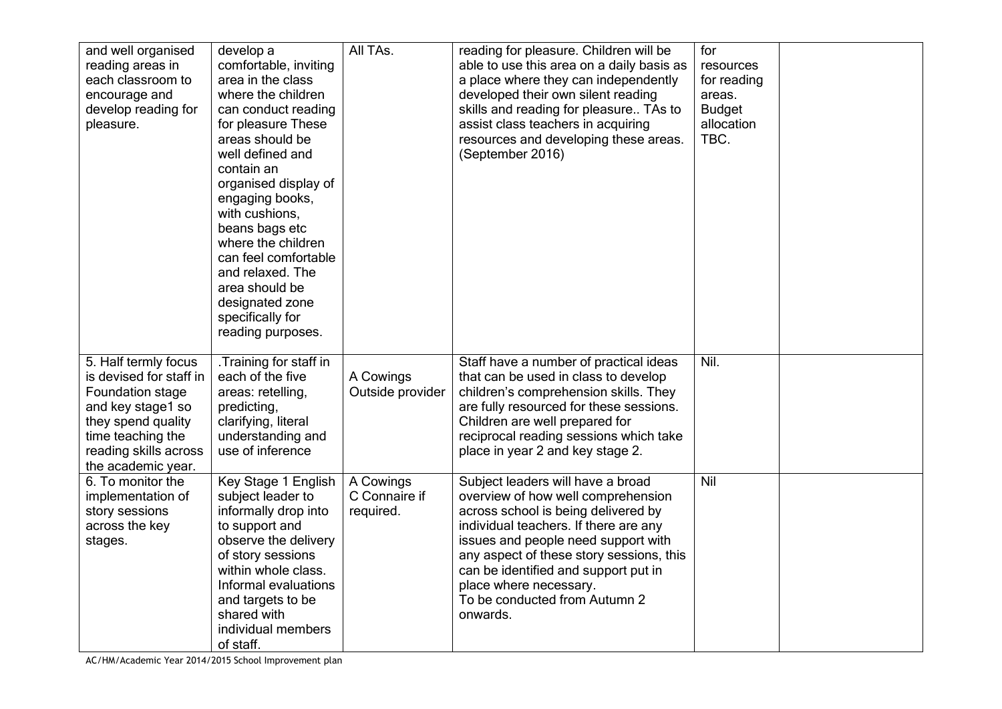| and well organised<br>reading areas in<br>each classroom to<br>encourage and<br>develop reading for<br>pleasure.                                                                   | develop a<br>comfortable, inviting<br>area in the class<br>where the children<br>can conduct reading<br>for pleasure These<br>areas should be<br>well defined and<br>contain an<br>organised display of<br>engaging books,<br>with cushions,<br>beans bags etc<br>where the children<br>can feel comfortable<br>and relaxed. The<br>area should be<br>designated zone<br>specifically for<br>reading purposes. | All TAs.                                | reading for pleasure. Children will be<br>able to use this area on a daily basis as<br>a place where they can independently<br>developed their own silent reading<br>skills and reading for pleasure TAs to<br>assist class teachers in acquiring<br>resources and developing these areas.<br>(September 2016)                                            | for<br>resources<br>for reading<br>areas.<br><b>Budget</b><br>allocation<br>TBC. |  |
|------------------------------------------------------------------------------------------------------------------------------------------------------------------------------------|----------------------------------------------------------------------------------------------------------------------------------------------------------------------------------------------------------------------------------------------------------------------------------------------------------------------------------------------------------------------------------------------------------------|-----------------------------------------|-----------------------------------------------------------------------------------------------------------------------------------------------------------------------------------------------------------------------------------------------------------------------------------------------------------------------------------------------------------|----------------------------------------------------------------------------------|--|
| 5. Half termly focus<br>is devised for staff in<br>Foundation stage<br>and key stage1 so<br>they spend quality<br>time teaching the<br>reading skills across<br>the academic year. | .Training for staff in<br>each of the five<br>areas: retelling,<br>predicting,<br>clarifying, literal<br>understanding and<br>use of inference                                                                                                                                                                                                                                                                 | A Cowings<br>Outside provider           | Staff have a number of practical ideas<br>that can be used in class to develop<br>children's comprehension skills. They<br>are fully resourced for these sessions.<br>Children are well prepared for<br>reciprocal reading sessions which take<br>place in year 2 and key stage 2.                                                                        | Nil.                                                                             |  |
| 6. To monitor the<br>implementation of<br>story sessions<br>across the key<br>stages.                                                                                              | Key Stage 1 English<br>subject leader to<br>informally drop into<br>to support and<br>observe the delivery<br>of story sessions<br>within whole class.<br>Informal evaluations<br>and targets to be<br>shared with<br>individual members<br>of staff.                                                                                                                                                          | A Cowings<br>C Connaire if<br>required. | Subject leaders will have a broad<br>overview of how well comprehension<br>across school is being delivered by<br>individual teachers. If there are any<br>issues and people need support with<br>any aspect of these story sessions, this<br>can be identified and support put in<br>place where necessary.<br>To be conducted from Autumn 2<br>onwards. | Nil                                                                              |  |

AC/HM/Academic Year 2014/2015 School Improvement plan